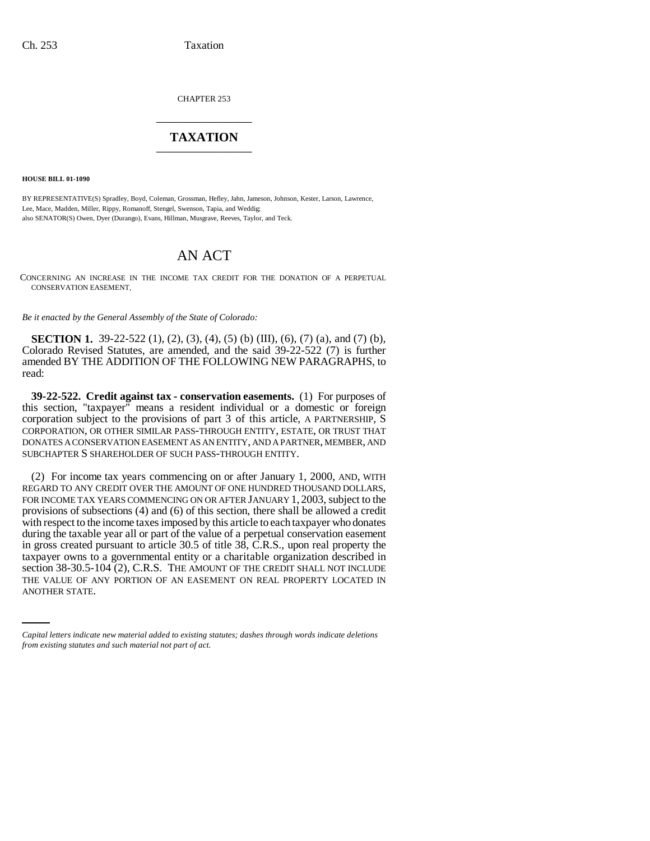CHAPTER 253 \_\_\_\_\_\_\_\_\_\_\_\_\_\_\_

## **TAXATION** \_\_\_\_\_\_\_\_\_\_\_\_\_\_\_

**HOUSE BILL 01-1090**

BY REPRESENTATIVE(S) Spradley, Boyd, Coleman, Grossman, Hefley, Jahn, Jameson, Johnson, Kester, Larson, Lawrence, Lee, Mace, Madden, Miller, Rippy, Romanoff, Stengel, Swenson, Tapia, and Weddig; also SENATOR(S) Owen, Dyer (Durango), Evans, Hillman, Musgrave, Reeves, Taylor, and Teck.

## AN ACT

CONCERNING AN INCREASE IN THE INCOME TAX CREDIT FOR THE DONATION OF A PERPETUAL CONSERVATION EASEMENT.

*Be it enacted by the General Assembly of the State of Colorado:*

**SECTION 1.** 39-22-522 (1), (2), (3), (4), (5) (b) (III), (6), (7) (a), and (7) (b), Colorado Revised Statutes, are amended, and the said 39-22-522 (7) is further amended BY THE ADDITION OF THE FOLLOWING NEW PARAGRAPHS, to read:

**39-22-522. Credit against tax - conservation easements.** (1) For purposes of this section, "taxpayer" means a resident individual or a domestic or foreign corporation subject to the provisions of part 3 of this article, A PARTNERSHIP, S CORPORATION, OR OTHER SIMILAR PASS-THROUGH ENTITY, ESTATE, OR TRUST THAT DONATES A CONSERVATION EASEMENT AS AN ENTITY, AND A PARTNER, MEMBER, AND SUBCHAPTER S SHAREHOLDER OF SUCH PASS-THROUGH ENTITY.

section 38-30.5-104 (2), C.R.S. THE AMOUNT OF THE CREDIT SHALL NOT INCLUDE (2) For income tax years commencing on or after January 1, 2000, AND, WITH REGARD TO ANY CREDIT OVER THE AMOUNT OF ONE HUNDRED THOUSAND DOLLARS, FOR INCOME TAX YEARS COMMENCING ON OR AFTER JANUARY 1, 2003, subject to the provisions of subsections (4) and (6) of this section, there shall be allowed a credit with respect to the income taxes imposed by this article to each taxpayer who donates during the taxable year all or part of the value of a perpetual conservation easement in gross created pursuant to article 30.5 of title 38, C.R.S., upon real property the taxpayer owns to a governmental entity or a charitable organization described in THE VALUE OF ANY PORTION OF AN EASEMENT ON REAL PROPERTY LOCATED IN ANOTHER STATE.

*Capital letters indicate new material added to existing statutes; dashes through words indicate deletions from existing statutes and such material not part of act.*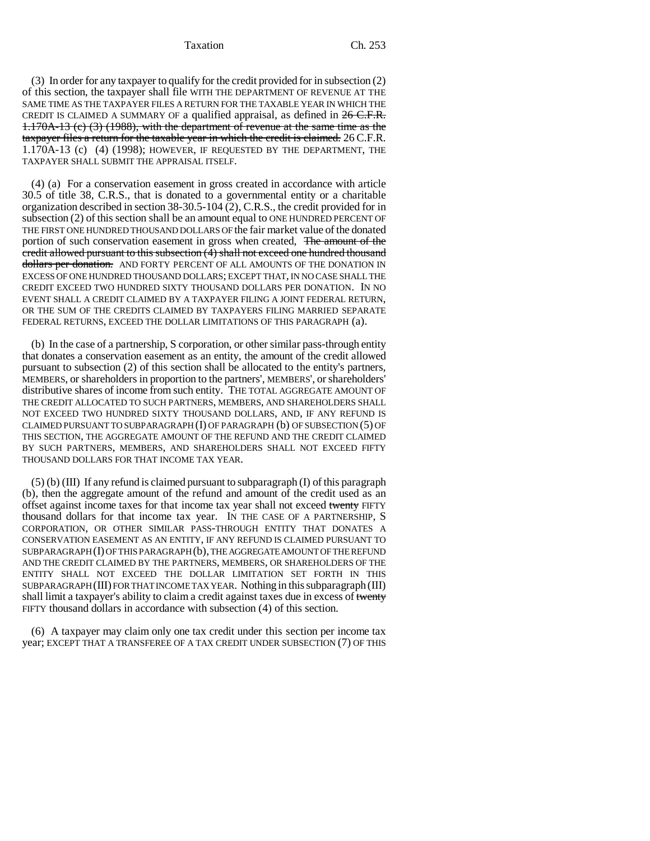Taxation Ch. 253

(3) In order for any taxpayer to qualify for the credit provided for in subsection (2) of this section, the taxpayer shall file WITH THE DEPARTMENT OF REVENUE AT THE SAME TIME AS THE TAXPAYER FILES A RETURN FOR THE TAXABLE YEAR IN WHICH THE CREDIT IS CLAIMED A SUMMARY OF a qualified appraisal, as defined in  $26$  C.F.R. 1.170A-13 (c) (3) (1988), with the department of revenue at the same time as the taxpayer files a return for the taxable year in which the credit is claimed. 26 C.F.R. 1.170A-13 (c) (4) (1998); HOWEVER, IF REQUESTED BY THE DEPARTMENT, THE TAXPAYER SHALL SUBMIT THE APPRAISAL ITSELF.

(4) (a) For a conservation easement in gross created in accordance with article 30.5 of title 38, C.R.S., that is donated to a governmental entity or a charitable organization described in section 38-30.5-104 (2), C.R.S., the credit provided for in subsection (2) of this section shall be an amount equal to ONE HUNDRED PERCENT OF THE FIRST ONE HUNDRED THOUSAND DOLLARS OF the fair market value of the donated portion of such conservation easement in gross when created, The amount of the credit allowed pursuant to this subsection  $(\bar{4})$  shall not exceed one hundred thousand dollars per donation. AND FORTY PERCENT OF ALL AMOUNTS OF THE DONATION IN EXCESS OF ONE HUNDRED THOUSAND DOLLARS; EXCEPT THAT, IN NO CASE SHALL THE CREDIT EXCEED TWO HUNDRED SIXTY THOUSAND DOLLARS PER DONATION. IN NO EVENT SHALL A CREDIT CLAIMED BY A TAXPAYER FILING A JOINT FEDERAL RETURN, OR THE SUM OF THE CREDITS CLAIMED BY TAXPAYERS FILING MARRIED SEPARATE FEDERAL RETURNS, EXCEED THE DOLLAR LIMITATIONS OF THIS PARAGRAPH (a).

(b) In the case of a partnership, S corporation, or other similar pass-through entity that donates a conservation easement as an entity, the amount of the credit allowed pursuant to subsection (2) of this section shall be allocated to the entity's partners, MEMBERS, or shareholders in proportion to the partners', MEMBERS', or shareholders' distributive shares of income from such entity. THE TOTAL AGGREGATE AMOUNT OF THE CREDIT ALLOCATED TO SUCH PARTNERS, MEMBERS, AND SHAREHOLDERS SHALL NOT EXCEED TWO HUNDRED SIXTY THOUSAND DOLLARS, AND, IF ANY REFUND IS CLAIMED PURSUANT TO SUBPARAGRAPH  $(I)$  OF PARAGRAPH  $(b)$  OF SUBSECTION  $(5)$  OF THIS SECTION, THE AGGREGATE AMOUNT OF THE REFUND AND THE CREDIT CLAIMED BY SUCH PARTNERS, MEMBERS, AND SHAREHOLDERS SHALL NOT EXCEED FIFTY THOUSAND DOLLARS FOR THAT INCOME TAX YEAR.

 $(5)$  (b) (III) If any refund is claimed pursuant to subparagraph (I) of this paragraph (b), then the aggregate amount of the refund and amount of the credit used as an offset against income taxes for that income tax year shall not exceed twenty FIFTY thousand dollars for that income tax year. IN THE CASE OF A PARTNERSHIP, S CORPORATION, OR OTHER SIMILAR PASS-THROUGH ENTITY THAT DONATES A CONSERVATION EASEMENT AS AN ENTITY, IF ANY REFUND IS CLAIMED PURSUANT TO SUBPARAGRAPH (I) OF THIS PARAGRAPH (b), THE AGGREGATE AMOUNT OF THE REFUND AND THE CREDIT CLAIMED BY THE PARTNERS, MEMBERS, OR SHAREHOLDERS OF THE ENTITY SHALL NOT EXCEED THE DOLLAR LIMITATION SET FORTH IN THIS SUBPARAGRAPH (III) FOR THAT INCOME TAX YEAR. Nothing in this subparagraph (III) shall limit a taxpayer's ability to claim a credit against taxes due in excess of twenty FIFTY thousand dollars in accordance with subsection (4) of this section.

(6) A taxpayer may claim only one tax credit under this section per income tax year; EXCEPT THAT A TRANSFEREE OF A TAX CREDIT UNDER SUBSECTION (7) OF THIS